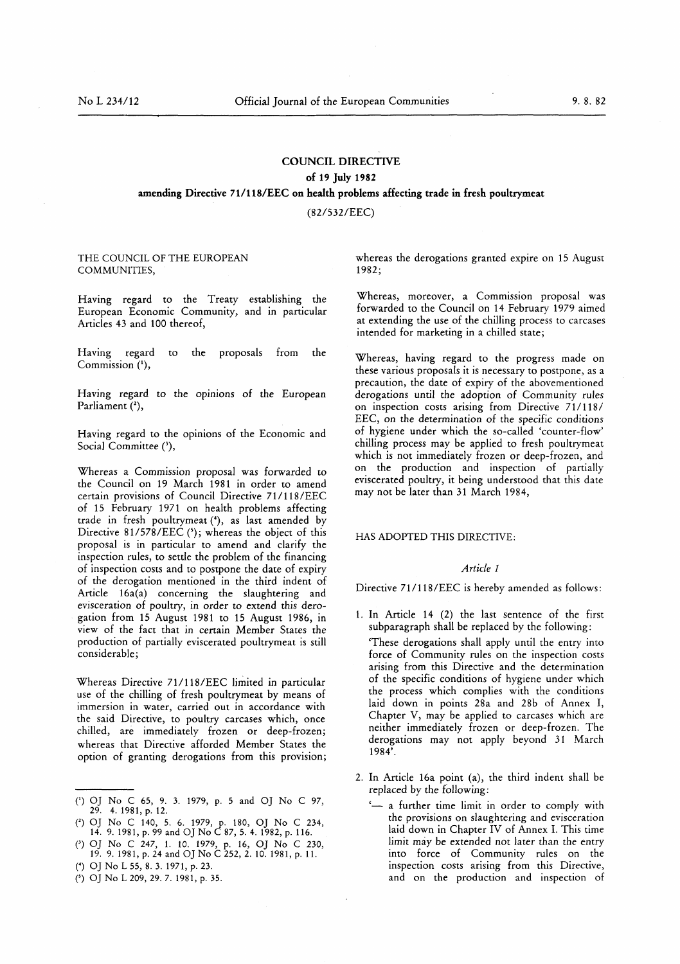## COUNCIL DIRECTIVE of 19 July 1982 amending Directive 71/118/EEC on health problems affecting trade in fresh poultrymeat

(82/532/EEC)

## THE COUNCIL OF THE EUROPEAN COMMUNITIES,

Having regard to the Treaty establishing the European Economic Community, and in particular Articles 43 and 100 thereof,

Having regard to the proposals from the Commission ('),

Having regard to the opinions of the European Parliament (2),

Having regard to the opinions of the Economic and Social Committee (3),

Whereas a Commission proposal was forwarded to the Council on 19 March 1981 in order to amend certain provisions of Council Directive <sup>71</sup> / <sup>118</sup> /EEC of 15 February 1971 on health problems affecting trade in fresh poultrymeat (4), as last amended by Directive  $81/578/EEC$  ( $^{\circ}$ ); whereas the object of this proposal is in particular to amend and clarify the inspection rules, to settle the problem of the financing of inspection costs and to postpone the date of expiry of the derogation mentioned in the third indent of Article 16a(a) concerning the slaughtering and evisceration of poultry, in order to extend this derogation from 15 August 1981 to 15 August 1986, in view of the fact that in certain Member States the production of partially eviscerated poultrymeat is still considerable ;

Whereas Directive 71/118/EEC limited in particular use of the chilling of fresh poultrymeat by means of immersion in water, carried out in accordance with the said Directive, to poultry carcases which, once chilled, are immediately frozen or deep-frozen; whereas that Directive afforded Member States the option of granting derogations from this provision ;

(5) OJ No L 209, 29. 7. 1981, p. 35.

whereas the derogations granted expire on 15 August 1982 ;

Whereas, moreover, a Commission proposal was forwarded to the Council on 14 February 1979 aimed at extending the use of the chilling process to carcases intended for marketing in a chilled state ;

Whereas, having regard to the progress made on these various proposals it is necessary to postpone, as a precaution, the date of expiry of the abovementioned derogations until the adoption of Community rules on inspection costs arising from Directive 71/118/ EEC, on the determination of the specific conditions of hygiene under which the so-called 'counter-flow' chilling process may be applied to fresh poultrymeat which is not immediately frozen or deep-frozen, and on the production and inspection of partially eviscerated poultry, it being understood that this date may not be later than 31 March 1984,

## HAS ADOPTED THIS DIRECTIVE:

## Article <sup>1</sup>

Directive 71/118/EEC is hereby amended as follows:

- <sup>1</sup> . In Article 14 (2) the last sentence of the first subparagraph shall be replaced by the following: 'These derogations shall apply until the entry into force of Community rules on the inspection costs arising from this Directive and the determination of the specific conditions of hygiene under which the process which complies with the conditions laid down in points 28a and 28b of Annex I, Chapter V, may be applied to carcases which are neither immediately frozen or deep-frozen . The derogations may not apply beyond 31 March 1984'.
- 2 . In Article 16a point (a), the third indent shall be replaced by the following :
	- '— a further time limit in order to comply with the provisions on slaughtering and evisceration laid down in Chapter IV of Annex I. This time limit may be extended not later than the entry into force of Community rules on the inspection costs arising from this Directive, and on the production and inspection of

C) OJ No C 65, 9 . <sup>3</sup> . 1979, p. 5 and OJ No C 97, 29. 4. 1981, p. 12.

<sup>(</sup> <sup>2</sup> ) OJ No C 140, 5 . 6 . 1979, p. 180, OJ No C 234, 14. 9. 1981, p. 99 and OJ No C 87, 5. 4. 1982, p. 116.

<sup>(3</sup> ) OJ No C 247, <sup>1</sup> . 10 . 1979, p. 16, OJ No C 230, 19. 9. 1981, p. 24 and OJ No C 252, 2. 10. 1981, p. 11.

<sup>(4)</sup> OJ No L 55, 8. 3. 1971, p. 23.